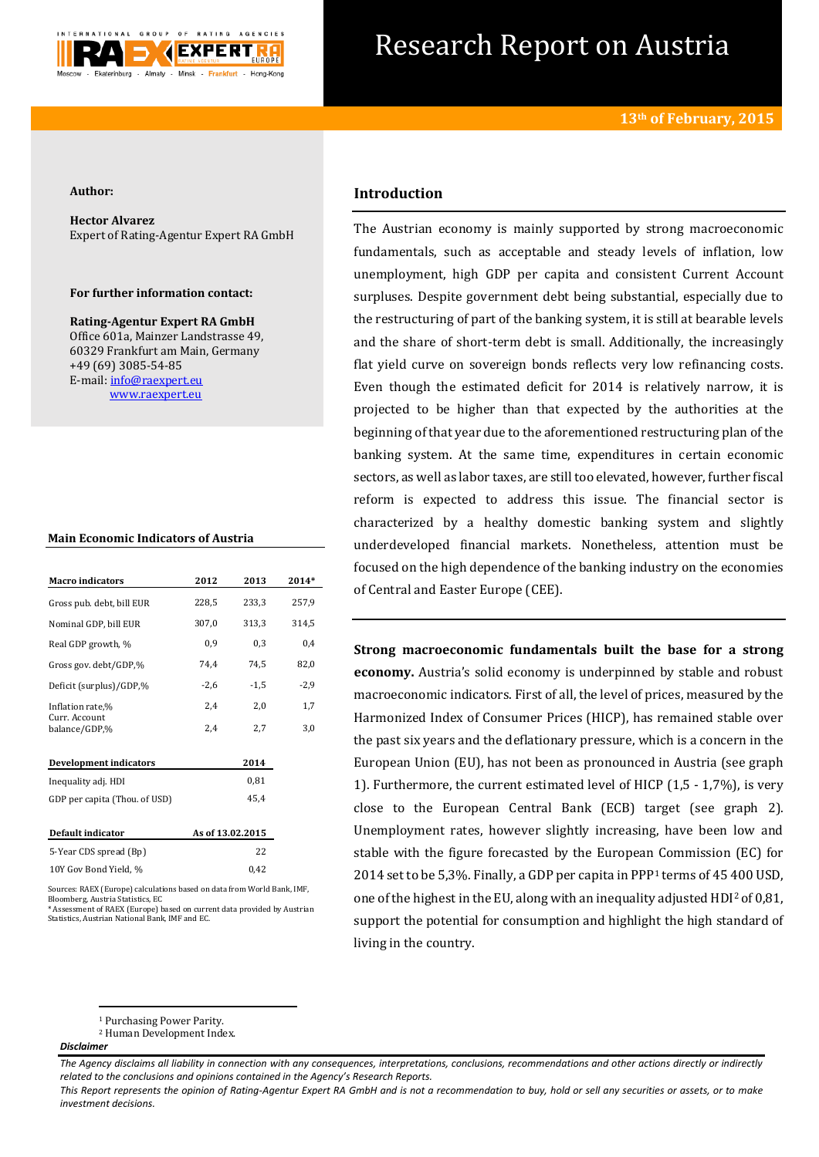

# Research Report on Austria

#### **Author:**

**Hector Alvarez** Expert of Rating-Agentur Expert RA GmbH

#### **For further information contact:**

**Rating-Agentur Expert RA GmbH** Office 601a, Mainzer Landstrasse 49, 60329 Frankfurt am Main, Germany +49 (69) 3085-54-85 E-mail[: info@raexpert.eu](mailto:info@raexpert.eu) [www.raexpert.eu](http://raexpert.eu/)

| <b>Macro</b> indicators        | 2012   | 2013             | 2014*  |
|--------------------------------|--------|------------------|--------|
| Gross pub. debt, bill EUR      | 228,5  | 233,3            | 257,9  |
| Nominal GDP, bill EUR          | 307,0  | 313,3            | 314,5  |
| Real GDP growth, %             | 0,9    | 0,3              | 0,4    |
| Gross gov. debt/GDP,%          | 74,4   | 74,5             | 82,0   |
| Deficit (surplus)/GDP,%        | $-2,6$ | $-1,5$           | $-2,9$ |
| Inflation rate,%               | 2,4    | 2,0              | 1,7    |
| Curr. Account<br>balance/GDP,% | 2,4    | 2,7              | 3,0    |
| <b>Development indicators</b>  |        | 2014             |        |
| Inequality adj. HDI            |        | 0,81             |        |
| GDP per capita (Thou. of USD)  |        | 45,4             |        |
| Default indicator              |        | As of 13.02.2015 |        |
| 5-Year CDS spread (Bp)         |        | 22               |        |
| 10Y Gov Bond Yield, %          |        | 0.42             |        |

Sources: RAEX (Europe) calculations based on data from World Bank, IMF, Bloomberg, Austria Statistics, EC \* Assessment of RAEX (Europe) based on current data provided by Austrian Statistics, Austrian National Bank, IMF and EC.

## **Introduction**

The Austrian economy is mainly supported by strong macroeconomic fundamentals, such as acceptable and steady levels of inflation, low unemployment, high GDP per capita and consistent Current Account surpluses. Despite government debt being substantial, especially due to the restructuring of part of the banking system, it is still at bearable levels and the share of short-term debt is small. Additionally, the increasingly flat yield curve on sovereign bonds reflects very low refinancing costs. Even though the estimated deficit for 2014 is relatively narrow, it is projected to be higher than that expected by the authorities at the beginning of that year due to the aforementioned restructuring plan of the banking system. At the same time, expenditures in certain economic sectors, as well as labor taxes, are still too elevated, however, further fiscal reform is expected to address this issue. The financial sector is characterized by a healthy domestic banking system and slightly underdeveloped financial markets. Nonetheless, attention must be focused on the high dependence of the banking industry on the economies of Central and Easter Europe (CEE).

**Strong macroeconomic fundamentals built the base for a strong economy.** Austria's solid economy is underpinned by stable and robust macroeconomic indicators. First of all, the level of prices, measured by the Harmonized Index of Consumer Prices (HICP), has remained stable over the past six years and the deflationary pressure, which is a concern in the European Union (EU), has not been as pronounced in Austria (see graph 1). Furthermore, the current estimated level of HICP (1,5 - 1,7%), is very close to the European Central Bank (ECB) target (see graph 2). Unemployment rates, however slightly increasing, have been low and stable with the figure forecasted by the European Commission (EC) for 2014 set to be 5,3%. Finally, a GDP per capita in PPP<sup>1</sup> terms of 45 400 USD, one of the highest in the EU, along with an inequality adjusted HDI<sup>2</sup> of 0,81, support the potential for consumption and highlight the high standard of living in the country.

#### *Disclaimer*

**<sup>.</sup>** <sup>1</sup> Purchasing Power Parity.

<sup>2</sup> Human Development Index.

*The Agency disclaims all liability in connection with any consequences, interpretations, conclusions, recommendations and other actions directly or indirectly related to the conclusions and opinions contained in the Agency's Research Reports.*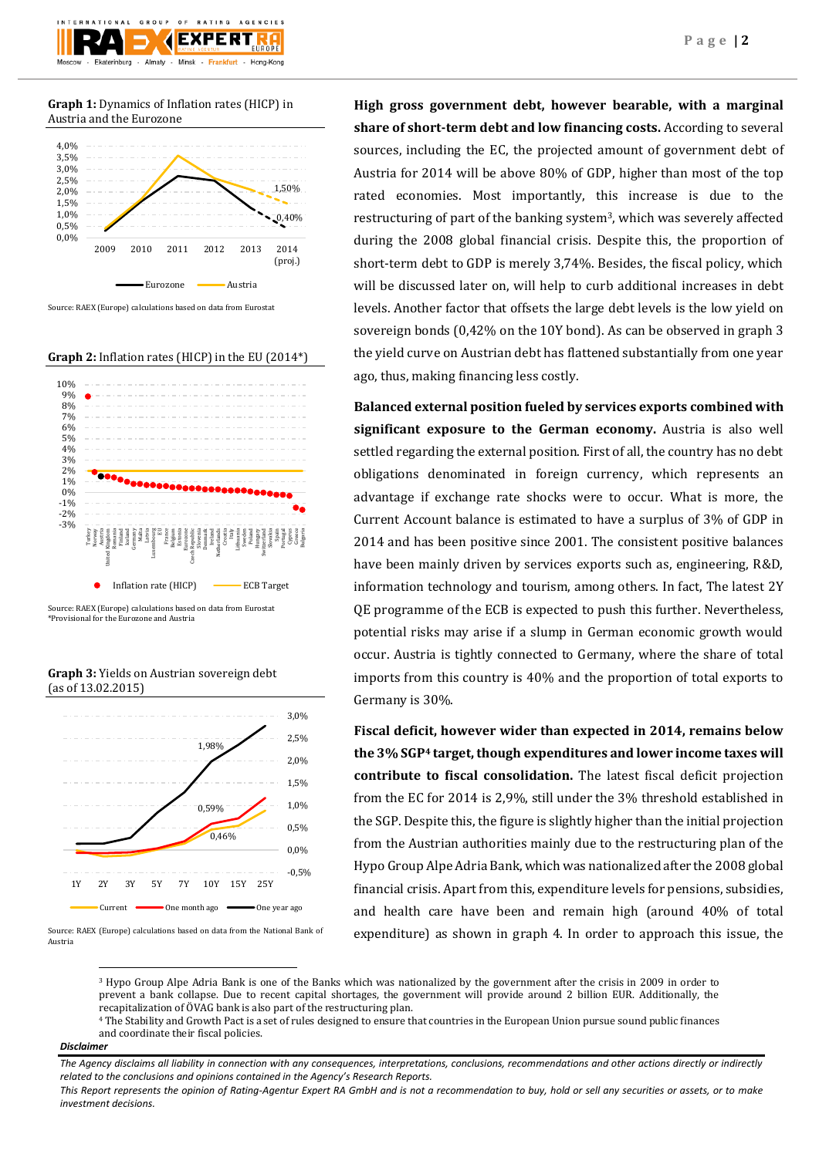### **Graph 1:** Dynamics of Inflation rates (HICP) in Austria and the Eurozone



Source: RAEX (Europe) calculations based on data from Eurostat

**Graph 2:** Inflation rates (HICP) in the EU (2014\*)



Source: RAEX (Europe) calculations based on data from Eurostat \*Provisional for the Eurozone and Austria

**Graph 3:** Yields on Austrian sovereign debt (as of 13.02.2015)



Source: RAEX (Europe) calculations based on data from the National Bank of Austria

**High gross government debt, however bearable, with a marginal share of short-term debt and low financing costs.** According to several sources, including the EC, the projected amount of government debt of Austria for 2014 will be above 80% of GDP, higher than most of the top rated economies. Most importantly, this increase is due to the restructuring of part of the banking system3, which was severely affected during the 2008 global financial crisis. Despite this, the proportion of short-term debt to GDP is merely 3,74%. Besides, the fiscal policy, which will be discussed later on, will help to curb additional increases in debt levels. Another factor that offsets the large debt levels is the low yield on sovereign bonds (0,42% on the 10Y bond). As can be observed in graph 3 the yield curve on Austrian debt has flattened substantially from one year ago, thus, making financing less costly.

**Balanced external position fueled by services exports combined with significant exposure to the German economy.** Austria is also well settled regarding the external position. First of all, the country has no debt obligations denominated in foreign currency, which represents an advantage if exchange rate shocks were to occur. What is more, the Current Account balance is estimated to have a surplus of 3% of GDP in 2014 and has been positive since 2001. The consistent positive balances have been mainly driven by services exports such as, engineering, R&D, information technology and tourism, among others. In fact, The latest 2Y QE programme of the ECB is expected to push this further. Nevertheless, potential risks may arise if a slump in German economic growth would occur. Austria is tightly connected to Germany, where the share of total imports from this country is 40% and the proportion of total exports to Germany is 30%.

**Fiscal deficit, however wider than expected in 2014, remains below the 3% SGP<sup>4</sup> target, though expenditures and lower income taxes will contribute to fiscal consolidation.** The latest fiscal deficit projection from the EC for 2014 is 2,9%, still under the 3% threshold established in the SGP. Despite this, the figure is slightly higher than the initial projection from the Austrian authorities mainly due to the restructuring plan of the Hypo Group Alpe Adria Bank, which was nationalized after the 2008 global financial crisis. Apart from this, expenditure levels for pensions, subsidies, and health care have been and remain high (around 40% of total expenditure) as shown in graph 4. In order to approach this issue, the

<sup>3</sup> Hypo Group Alpe Adria Bank is one of the Banks which was nationalized by the government after the crisis in 2009 in order to prevent a bank collapse. Due to recent capital shortages, the government will provide around 2 billion EUR. Additionally, the recapitalization of ÖVAG bank is also part of the restructuring plan.

#### *Disclaimer*

**.** 

<sup>4</sup> The Stability and Growth Pact is a set of rules designed to ensure that countries in the European Union pursue sound public finances and coordinate their fiscal policies.

*The Agency disclaims all liability in connection with any consequences, interpretations, conclusions, recommendations and other actions directly or indirectly related to the conclusions and opinions contained in the Agency's Research Reports.*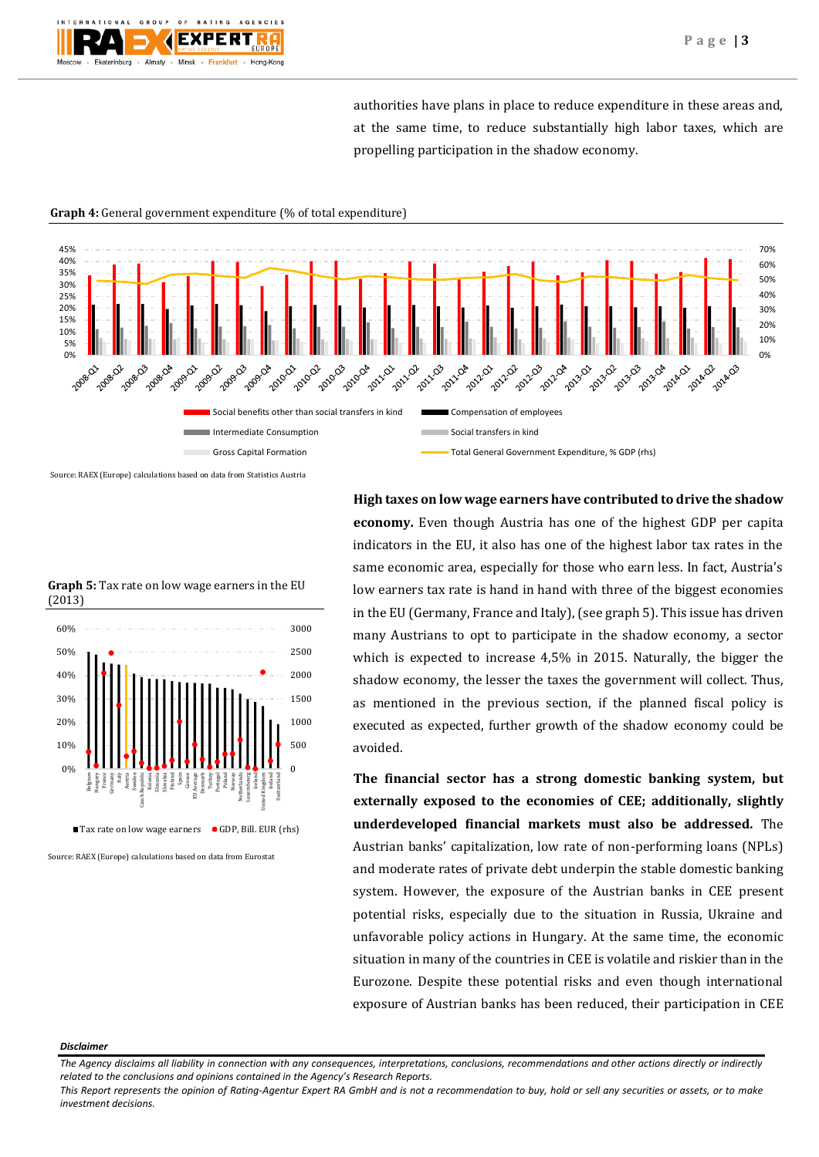authorities have plans in place to reduce expenditure in these areas and, at the same time, to reduce substantially high labor taxes, which are propelling participation in the shadow economy.



#### **Graph 4:** General government expenditure (% of total expenditure)

Source: RAEX (Europe) calculations based on data from Statistics Austria



**Graph 5:** Tax rate on low wage earners in the EU (2013)

Source: RAEX (Europe) calculations based on data from Eurostat

**economy.** Even though Austria has one of the highest GDP per capita indicators in the EU, it also has one of the highest labor tax rates in the same economic area, especially for those who earn less. In fact, Austria's low earners tax rate is hand in hand with three of the biggest economies in the EU (Germany, France and Italy), (see graph 5). This issue has driven many Austrians to opt to participate in the shadow economy, a sector which is expected to increase 4,5% in 2015. Naturally, the bigger the shadow economy, the lesser the taxes the government will collect. Thus, as mentioned in the previous section, if the planned fiscal policy is executed as expected, further growth of the shadow economy could be avoided.

**High taxes on low wage earners have contributed to drive the shadow** 

**The financial sector has a strong domestic banking system, but externally exposed to the economies of CEE; additionally, slightly underdeveloped financial markets must also be addressed.** The Austrian banks' capitalization, low rate of non-performing loans (NPLs) and moderate rates of private debt underpin the stable domestic banking system. However, the exposure of the Austrian banks in CEE present potential risks, especially due to the situation in Russia, Ukraine and unfavorable policy actions in Hungary. At the same time, the economic situation in many of the countries in CEE is volatile and riskier than in the Eurozone. Despite these potential risks and even though international exposure of Austrian banks has been reduced, their participation in CEE

#### *Disclaimer*

*The Agency disclaims all liability in connection with any consequences, interpretations, conclusions, recommendations and other actions directly or indirectly related to the conclusions and opinions contained in the Agency's Research Reports.*